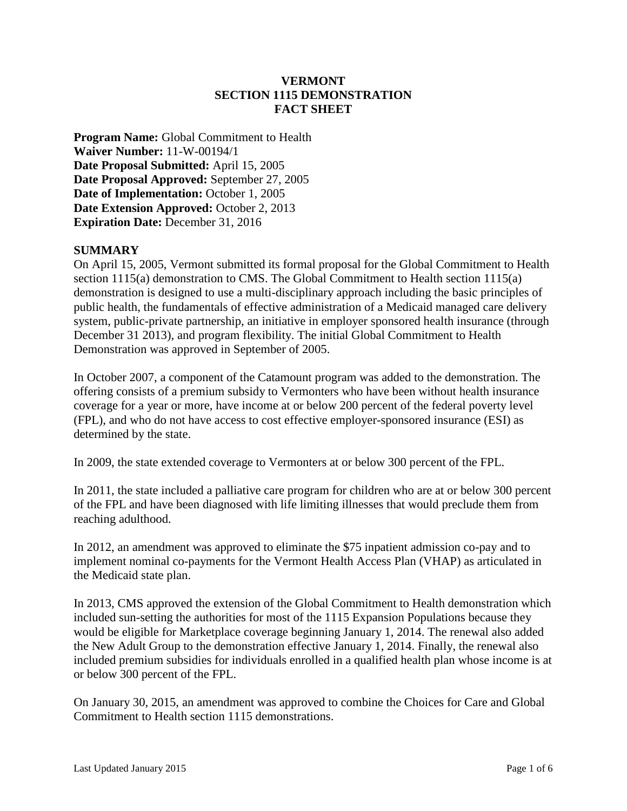### **VERMONT SECTION 1115 DEMONSTRATION FACT SHEET**

**Program Name:** Global Commitment to Health **Waiver Number:** 11-W-00194/1 **Date Proposal Submitted:** April 15, 2005 **Date Proposal Approved:** September 27, 2005 **Date of Implementation:** October 1, 2005 Date Extension Approved: October 2, 2013 **Expiration Date:** December 31, 2016

### **SUMMARY**

On April 15, 2005, Vermont submitted its formal proposal for the Global Commitment to Health section 1115(a) demonstration to CMS. The Global Commitment to Health section 1115(a) demonstration is designed to use a multi-disciplinary approach including the basic principles of public health, the fundamentals of effective administration of a Medicaid managed care delivery system, public-private partnership, an initiative in employer sponsored health insurance (through December 31 2013), and program flexibility. The initial Global Commitment to Health Demonstration was approved in September of 2005.

In October 2007, a component of the Catamount program was added to the demonstration. The offering consists of a premium subsidy to Vermonters who have been without health insurance coverage for a year or more, have income at or below 200 percent of the federal poverty level (FPL), and who do not have access to cost effective employer-sponsored insurance (ESI) as determined by the state.

In 2009, the state extended coverage to Vermonters at or below 300 percent of the FPL.

In 2011, the state included a palliative care program for children who are at or below 300 percent of the FPL and have been diagnosed with life limiting illnesses that would preclude them from reaching adulthood.

In 2012, an amendment was approved to eliminate the \$75 inpatient admission co-pay and to implement nominal co-payments for the Vermont Health Access Plan (VHAP) as articulated in the Medicaid state plan.

In 2013, CMS approved the extension of the Global Commitment to Health demonstration which included sun-setting the authorities for most of the 1115 Expansion Populations because they would be eligible for Marketplace coverage beginning January 1, 2014. The renewal also added the New Adult Group to the demonstration effective January 1, 2014. Finally, the renewal also included premium subsidies for individuals enrolled in a qualified health plan whose income is at or below 300 percent of the FPL.

On January 30, 2015, an amendment was approved to combine the Choices for Care and Global Commitment to Health section 1115 demonstrations.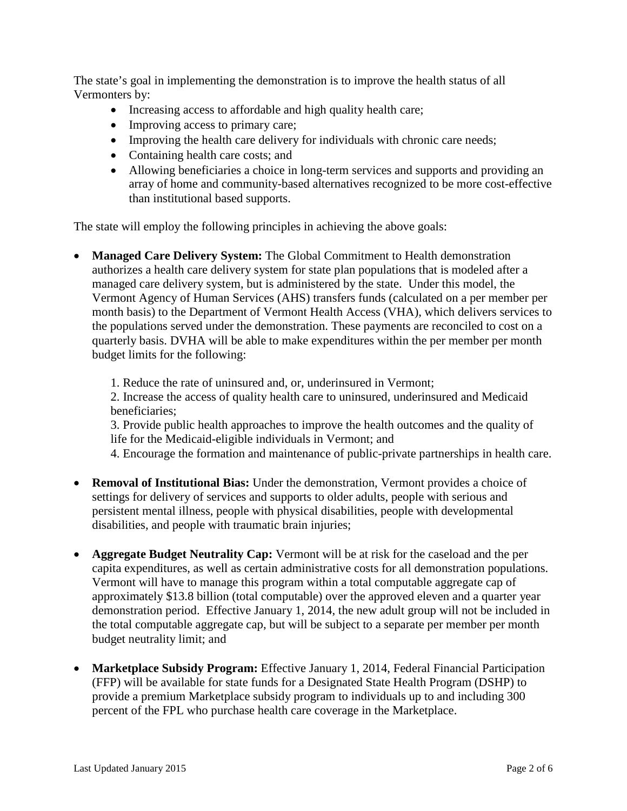The state's goal in implementing the demonstration is to improve the health status of all Vermonters by:

- Increasing access to affordable and high quality health care;
- Improving access to primary care;
- Improving the health care delivery for individuals with chronic care needs;
- Containing health care costs; and
- Allowing beneficiaries a choice in long-term services and supports and providing an array of home and community-based alternatives recognized to be more cost-effective than institutional based supports.

The state will employ the following principles in achieving the above goals:

• **Managed Care Delivery System:** The Global Commitment to Health demonstration authorizes a health care delivery system for state plan populations that is modeled after a managed care delivery system, but is administered by the state. Under this model, the Vermont Agency of Human Services (AHS) transfers funds (calculated on a per member per month basis) to the Department of Vermont Health Access (VHA), which delivers services to the populations served under the demonstration. These payments are reconciled to cost on a quarterly basis. DVHA will be able to make expenditures within the per member per month budget limits for the following:

1. Reduce the rate of uninsured and, or, underinsured in Vermont;

2. Increase the access of quality health care to uninsured, underinsured and Medicaid beneficiaries;

3. Provide public health approaches to improve the health outcomes and the quality of life for the Medicaid-eligible individuals in Vermont; and

4. Encourage the formation and maintenance of public-private partnerships in health care.

- **Removal of Institutional Bias:** Under the demonstration, Vermont provides a choice of settings for delivery of services and supports to older adults, people with serious and persistent mental illness, people with physical disabilities, people with developmental disabilities, and people with traumatic brain injuries;
- **Aggregate Budget Neutrality Cap:** Vermont will be at risk for the caseload and the per capita expenditures, as well as certain administrative costs for all demonstration populations. Vermont will have to manage this program within a total computable aggregate cap of approximately \$13.8 billion (total computable) over the approved eleven and a quarter year demonstration period. Effective January 1, 2014, the new adult group will not be included in the total computable aggregate cap, but will be subject to a separate per member per month budget neutrality limit; and
- **Marketplace Subsidy Program:** Effective January 1, 2014, Federal Financial Participation (FFP) will be available for state funds for a Designated State Health Program (DSHP) to provide a premium Marketplace subsidy program to individuals up to and including 300 percent of the FPL who purchase health care coverage in the Marketplace.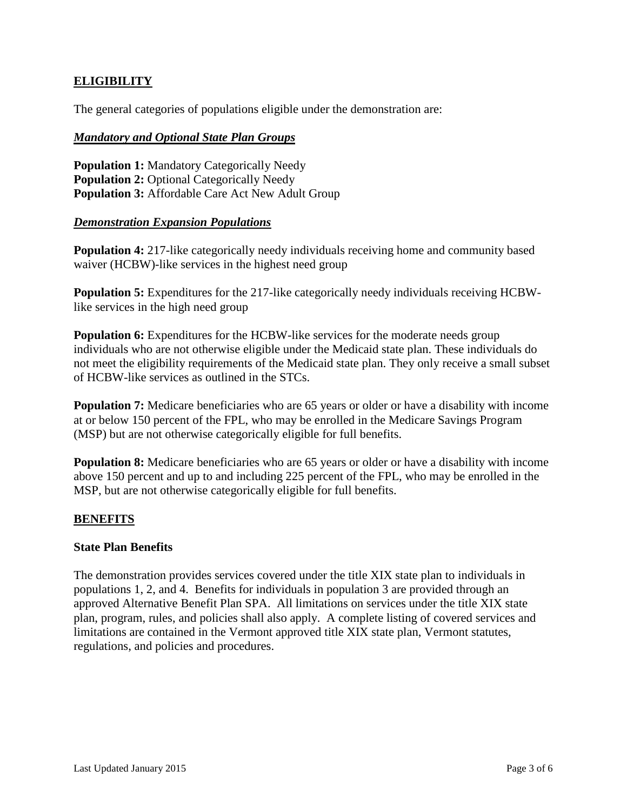### **ELIGIBILITY**

The general categories of populations eligible under the demonstration are:

### *Mandatory and Optional State Plan Groups*

**Population 1:** Mandatory Categorically Needy **Population 2: Optional Categorically Needy Population 3:** Affordable Care Act New Adult Group

### *Demonstration Expansion Populations*

**Population 4:** 217-like categorically needy individuals receiving home and community based waiver (HCBW)-like services in the highest need group

**Population 5:** Expenditures for the 217-like categorically needy individuals receiving HCBWlike services in the high need group

Population 6: Expenditures for the HCBW-like services for the moderate needs group individuals who are not otherwise eligible under the Medicaid state plan. These individuals do not meet the eligibility requirements of the Medicaid state plan. They only receive a small subset of HCBW-like services as outlined in the STCs.

**Population 7:** Medicare beneficiaries who are 65 years or older or have a disability with income at or below 150 percent of the FPL, who may be enrolled in the Medicare Savings Program (MSP) but are not otherwise categorically eligible for full benefits.

**Population 8:** Medicare beneficiaries who are 65 years or older or have a disability with income above 150 percent and up to and including 225 percent of the FPL, who may be enrolled in the MSP, but are not otherwise categorically eligible for full benefits.

### **BENEFITS**

### **State Plan Benefits**

The demonstration provides services covered under the title XIX state plan to individuals in populations 1, 2, and 4. Benefits for individuals in population 3 are provided through an approved Alternative Benefit Plan SPA. All limitations on services under the title XIX state plan, program, rules, and policies shall also apply. A complete listing of covered services and limitations are contained in the Vermont approved title XIX state plan, Vermont statutes, regulations, and policies and procedures.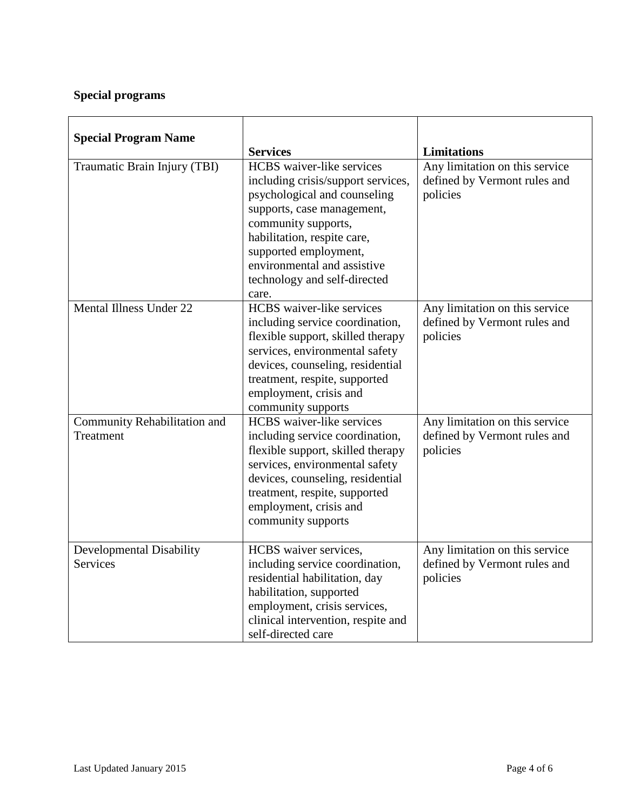# **Special programs**

| <b>Special Program Name</b>                        | <b>Services</b>                                                                                                                                                                                                                                                                    | <b>Limitations</b>                                                         |
|----------------------------------------------------|------------------------------------------------------------------------------------------------------------------------------------------------------------------------------------------------------------------------------------------------------------------------------------|----------------------------------------------------------------------------|
| Traumatic Brain Injury (TBI)                       | <b>HCBS</b> waiver-like services<br>including crisis/support services,<br>psychological and counseling<br>supports, case management,<br>community supports,<br>habilitation, respite care,<br>supported employment,<br>environmental and assistive<br>technology and self-directed | Any limitation on this service<br>defined by Vermont rules and<br>policies |
| Mental Illness Under 22                            | care.<br><b>HCBS</b> waiver-like services<br>including service coordination,<br>flexible support, skilled therapy<br>services, environmental safety<br>devices, counseling, residential<br>treatment, respite, supported<br>employment, crisis and<br>community supports           | Any limitation on this service<br>defined by Vermont rules and<br>policies |
| Community Rehabilitation and<br>Treatment          | <b>HCBS</b> waiver-like services<br>including service coordination,<br>flexible support, skilled therapy<br>services, environmental safety<br>devices, counseling, residential<br>treatment, respite, supported<br>employment, crisis and<br>community supports                    | Any limitation on this service<br>defined by Vermont rules and<br>policies |
| <b>Developmental Disability</b><br><b>Services</b> | HCBS waiver services,<br>including service coordination,<br>residential habilitation, day<br>habilitation, supported<br>employment, crisis services,<br>clinical intervention, respite and<br>self-directed care                                                                   | Any limitation on this service<br>defined by Vermont rules and<br>policies |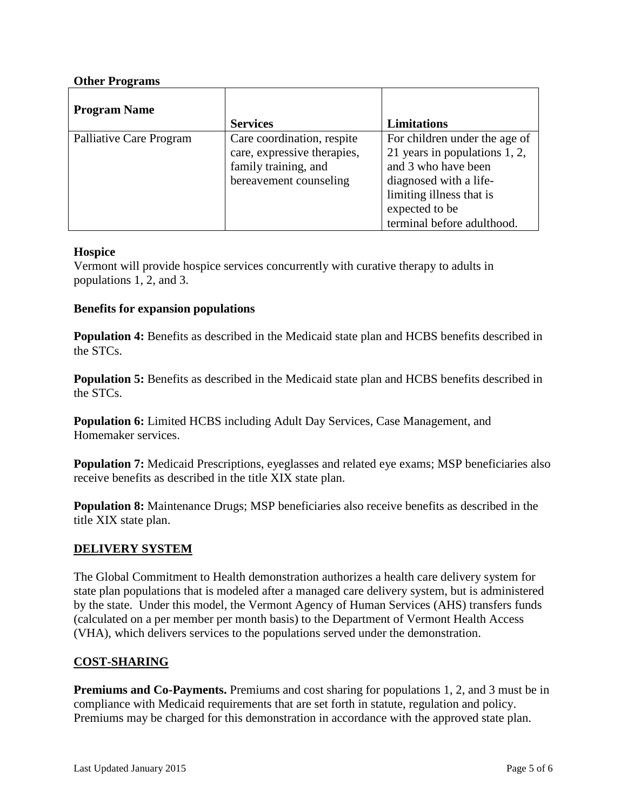### **Other Programs**

| <b>Program Name</b>     | <b>Services</b>                                                                                             | <b>Limitations</b>                                                                                                                                            |
|-------------------------|-------------------------------------------------------------------------------------------------------------|---------------------------------------------------------------------------------------------------------------------------------------------------------------|
| Palliative Care Program | Care coordination, respite<br>care, expressive therapies,<br>family training, and<br>bereavement counseling | For children under the age of<br>21 years in populations 1, 2,<br>and 3 who have been<br>diagnosed with a life-<br>limiting illness that is<br>expected to be |
|                         |                                                                                                             | terminal before adulthood.                                                                                                                                    |

### **Hospice**

Vermont will provide hospice services concurrently with curative therapy to adults in populations 1, 2, and 3.

### **Benefits for expansion populations**

**Population 4:** Benefits as described in the Medicaid state plan and HCBS benefits described in the STCs.

**Population 5:** Benefits as described in the Medicaid state plan and HCBS benefits described in the STCs.

**Population 6:** Limited HCBS including Adult Day Services, Case Management, and Homemaker services.

**Population 7:** Medicaid Prescriptions, eyeglasses and related eye exams; MSP beneficiaries also receive benefits as described in the title XIX state plan.

**Population 8:** Maintenance Drugs; MSP beneficiaries also receive benefits as described in the title XIX state plan.

### **DELIVERY SYSTEM**

The Global Commitment to Health demonstration authorizes a health care delivery system for state plan populations that is modeled after a managed care delivery system, but is administered by the state. Under this model, the Vermont Agency of Human Services (AHS) transfers funds (calculated on a per member per month basis) to the Department of Vermont Health Access (VHA), which delivers services to the populations served under the demonstration.

### **COST-SHARING**

**Premiums and Co-Payments.** Premiums and cost sharing for populations 1, 2, and 3 must be in compliance with Medicaid requirements that are set forth in statute, regulation and policy. Premiums may be charged for this demonstration in accordance with the approved state plan.